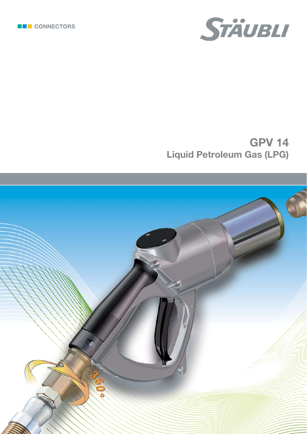



# **GPV 14 Liquid Petroleum Gas (LPG)**

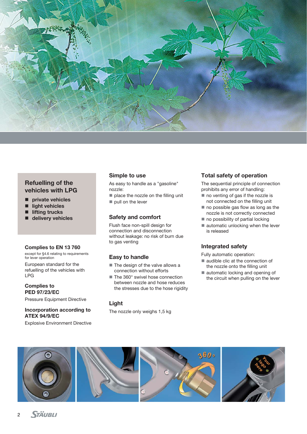

## **Refuelling of the vehicles with LPG**

- private vehicles
- $\blacksquare$  light vehicles
- $\blacksquare$  lifting trucks
- **delivery vehicles**

#### **Complies to EN 13 760**

except for §4.6 relating to requirements for lever operation

European standard for the refuelling of the vehicles with LPG

**Complies to PED 97/23/EC**

Pressure Equipment Directive

#### **Incorporation according to ATEX 94/9/EC**

Explosive Environment Directive

#### **Simple to use**

As easy to handle as a "gasoline" nozzle:

 $\blacksquare$  place the nozzle on the filling unit pull on the lever

#### **Safety and comfort**

Flush face non-spill design for connection and disconnection without leakage: no risk of burn due to gas venting

## **Easy to handle**

- The design of the valve allows a connection without efforts
- The 360° swivel hose connection between nozzle and hose reduces the stresses due to the hose rigidity

#### **Light**

The nozzle only weighs 1,5 kg

## **Total safety of operation**

The sequential principle of connection prohibits any error of handling:

- $\blacksquare$  no venting of gas if the nozzle is not connected on the filling unit
- $\blacksquare$  no possible gas flow as long as the nozzle is not correctly connected
- $\blacksquare$  no possibility of partial locking
- $\blacksquare$  automatic unlocking when the lever is released

## **Integrated safety**

Fully automatic operation:

- audible clic at the connection of the nozzle onto the filling unit
- automatic locking and opening of the circuit when pulling on the lever

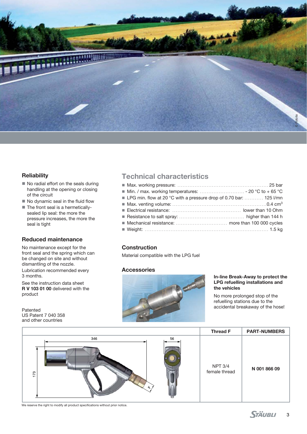

#### **Reliability**

- No radial effort on the seals during handling at the opening or closing of the circuit
- $\blacksquare$  No dynamic seal in the fluid flow
- The front seal is a hermeticallysealed lip seal: the more the pressure increases, the more the seal is tight

#### **Reduced maintenance**

No maintenance except for the front seal and the spring which can be changed on site and without dismantling of the nozzle. Lubrication recommended every 3 months.

See the instruction data sheet **R V 103 01 00** delivered with the product

Patented US Patent 7 040 358 and other countries

## **Technical characteristics**

| ■ LPG min. flow at 20 °C with a pressure drop of 0.70 bar:  125 l/mn |  |
|----------------------------------------------------------------------|--|
|                                                                      |  |
|                                                                      |  |
|                                                                      |  |
|                                                                      |  |
|                                                                      |  |

## **Construction**

Material compatible with the LPG fuel

#### **Accessories**



#### **In-line Break-Away to protect the LPG refuelling installations and the vehicles**

No more prolonged stop of the refuelling stations due to the accidental breakaway of the hose!



We reserve the right to modify all product specifications without prior notice.